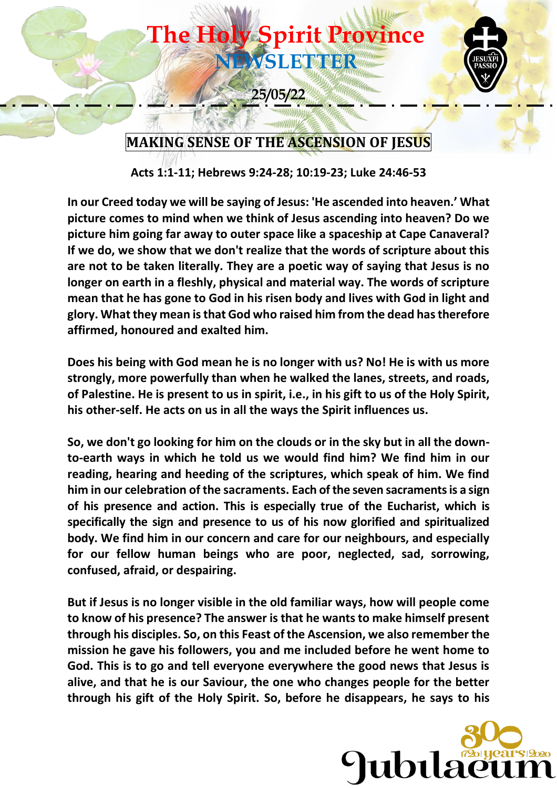

**Acts 1:1-11; Hebrews 9:24-28; 10:19-23; Luke 24:46-53**

**In our Creed today we will be saying of Jesus: 'He ascended into heaven.' What picture comes to mind when we think of Jesus ascending into heaven? Do we picture him going far away to outer space like a spaceship at Cape Canaveral? If we do, we show that we don't realize that the words of scripture about this are not to be taken literally. They are a poetic way of saying that Jesus is no longer on earth in a fleshly, physical and material way. The words of scripture mean that he has gone to God in his risen body and lives with God in light and glory. What they mean is that God who raised him from the dead has therefore affirmed, honoured and exalted him.**

**Does his being with God mean he is no longer with us? No! He is with us more strongly, more powerfully than when he walked the lanes, streets, and roads, of Palestine. He is present to us in spirit, i.e., in his gift to us of the Holy Spirit, his other-self. He acts on us in all the ways the Spirit influences us.** 

**So, we don't go looking for him on the clouds or in the sky but in all the downto-earth ways in which he told us we would find him? We find him in our reading, hearing and heeding of the scriptures, which speak of him. We find him in our celebration of the sacraments. Each of the seven sacraments is a sign of his presence and action. This is especially true of the Eucharist, which is specifically the sign and presence to us of his now glorified and spiritualized body. We find him in our concern and care for our neighbours, and especially for our fellow human beings who are poor, neglected, sad, sorrowing, confused, afraid, or despairing.**

**But if Jesus is no longer visible in the old familiar ways, how will people come to know of his presence? The answer is that he wants to make himself present through his disciples. So, on this Feast of the Ascension, we also remember the mission he gave his followers, you and me included before he went home to God. This is to go and tell everyone everywhere the good news that Jesus is alive, and that he is our Saviour, the one who changes people for the better through his gift of the Holy Spirit. So, before he disappears, he says to his** 

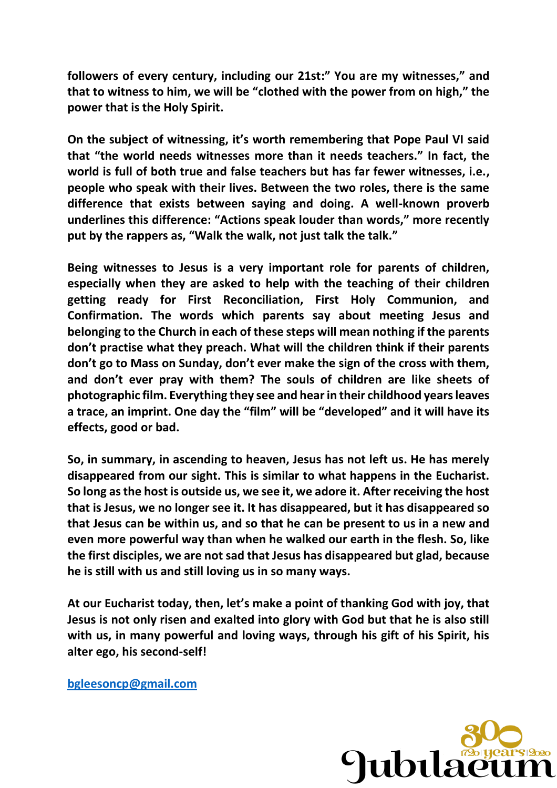**followers of every century, including our 21st:" You are my witnesses," and that to witness to him, we will be "clothed with the power from on high," the power that is the Holy Spirit.**

**On the subject of witnessing, it's worth remembering that Pope Paul VI said that "the world needs witnesses more than it needs teachers." In fact, the world is full of both true and false teachers but has far fewer witnesses, i.e., people who speak with their lives. Between the two roles, there is the same difference that exists between saying and doing. A well-known proverb underlines this difference: "Actions speak louder than words," more recently put by the rappers as, "Walk the walk, not just talk the talk."**

**Being witnesses to Jesus is a very important role for parents of children, especially when they are asked to help with the teaching of their children getting ready for First Reconciliation, First Holy Communion, and Confirmation. The words which parents say about meeting Jesus and belonging to the Church in each of these steps will mean nothing if the parents don't practise what they preach. What will the children think if their parents don't go to Mass on Sunday, don't ever make the sign of the cross with them, and don't ever pray with them? The souls of children are like sheets of photographic film. Everything they see and hear in their childhood years leaves a trace, an imprint. One day the "film" will be "developed" and it will have its effects, good or bad.**

**So, in summary, in ascending to heaven, Jesus has not left us. He has merely disappeared from our sight. This is similar to what happens in the Eucharist. So long as the host is outside us, we see it, we adore it. After receiving the host that is Jesus, we no longer see it. It has disappeared, but it has disappeared so that Jesus can be within us, and so that he can be present to us in a new and even more powerful way than when he walked our earth in the flesh. So, like the first disciples, we are not sad that Jesus has disappeared but glad, because he is still with us and still loving us in so many ways.**

**At our Eucharist today, then, let's make a point of thanking God with joy, that Jesus is not only risen and exalted into glory with God but that he is also still with us, in many powerful and loving ways, through his gift of his Spirit, his alter ego, his second-self!**

**[bgleesoncp@gmail.com](mailto:bgleesoncp@gmail.com)**